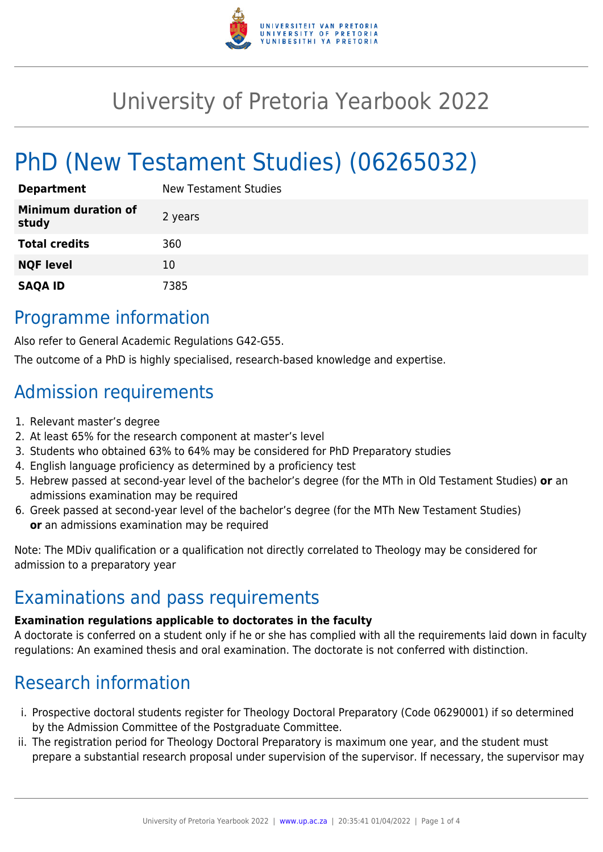

# University of Pretoria Yearbook 2022

# PhD (New Testament Studies) (06265032)

| <b>Department</b>                   | New Testament Studies |
|-------------------------------------|-----------------------|
| <b>Minimum duration of</b><br>study | 2 years               |
| <b>Total credits</b>                | 360                   |
| <b>NQF level</b>                    | 10                    |
| <b>SAQA ID</b>                      | 7385                  |

## Programme information

Also refer to General Academic Regulations G42-G55.

The outcome of a PhD is highly specialised, research-based knowledge and expertise.

# Admission requirements

- 1. Relevant master's degree
- 2. At least 65% for the research component at master's level
- 3. Students who obtained 63% to 64% may be considered for PhD Preparatory studies
- 4. English language proficiency as determined by a proficiency test
- 5. Hebrew passed at second-year level of the bachelor's degree (for the MTh in Old Testament Studies) **or** an admissions examination may be required
- 6. Greek passed at second-year level of the bachelor's degree (for the MTh New Testament Studies) **or** an admissions examination may be required

Note: The MDiv qualification or a qualification not directly correlated to Theology may be considered for admission to a preparatory year

## Examinations and pass requirements

### **Examination regulations applicable to doctorates in the faculty**

A doctorate is conferred on a student only if he or she has complied with all the requirements laid down in faculty regulations: An examined thesis and oral examination. The doctorate is not conferred with distinction.

# Research information

- i. Prospective doctoral students register for Theology Doctoral Preparatory (Code 06290001) if so determined by the Admission Committee of the Postgraduate Committee.
- ii. The registration period for Theology Doctoral Preparatory is maximum one year, and the student must prepare a substantial research proposal under supervision of the supervisor. If necessary, the supervisor may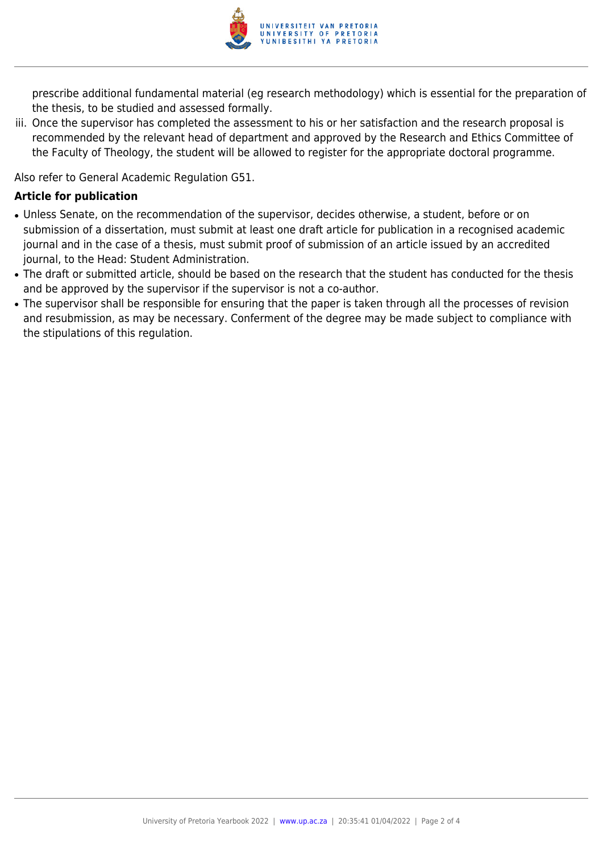

prescribe additional fundamental material (eg research methodology) which is essential for the preparation of the thesis, to be studied and assessed formally.

iii. Once the supervisor has completed the assessment to his or her satisfaction and the research proposal is recommended by the relevant head of department and approved by the Research and Ethics Committee of the Faculty of Theology, the student will be allowed to register for the appropriate doctoral programme.

Also refer to General Academic Regulation G51.

#### **Article for publication**

- Unless Senate, on the recommendation of the supervisor, decides otherwise, a student, before or on submission of a dissertation, must submit at least one draft article for publication in a recognised academic journal and in the case of a thesis, must submit proof of submission of an article issued by an accredited journal, to the Head: Student Administration.
- The draft or submitted article, should be based on the research that the student has conducted for the thesis and be approved by the supervisor if the supervisor is not a co-author.
- The supervisor shall be responsible for ensuring that the paper is taken through all the processes of revision and resubmission, as may be necessary. Conferment of the degree may be made subject to compliance with the stipulations of this regulation.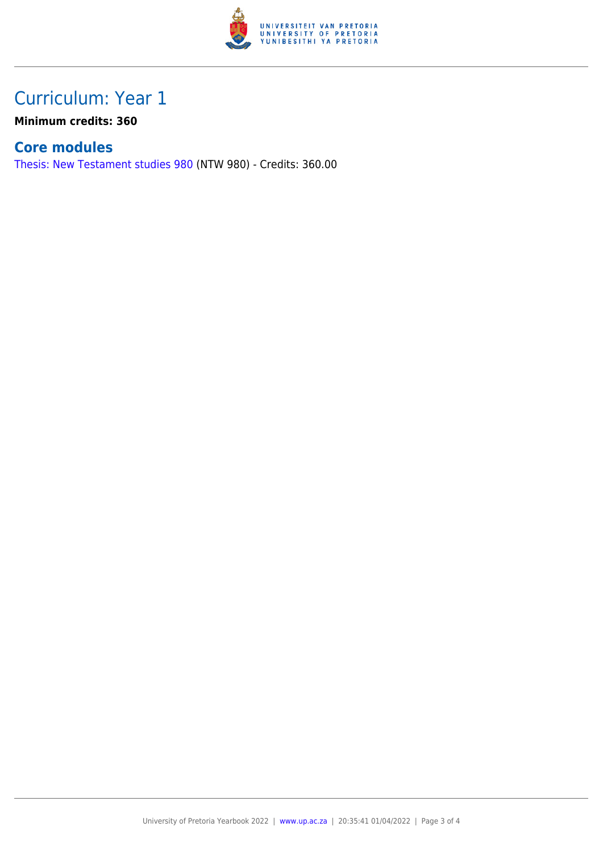

# Curriculum: Year 1

**Minimum credits: 360**

### **Core modules**

[Thesis: New Testament studies 980](https://www.up.ac.za/yearbooks/2022/modules/view/NTW 980) (NTW 980) - Credits: 360.00